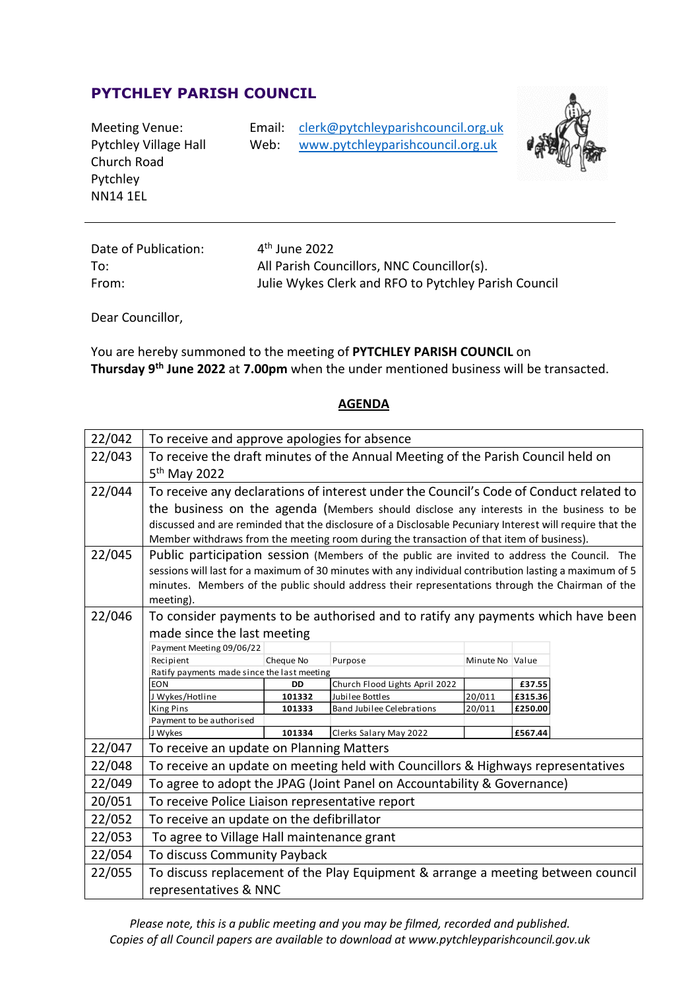## **PYTCHLEY PARISH COUNCIL**

| Meeting Venue:<br><b>Pytchley Village Hall</b><br>Church Road<br>Pytchley | Email:<br>Web: | clerk@pytchleyparishcouncil.org.uk<br>www.pytchleyparishcouncil.org.uk |
|---------------------------------------------------------------------------|----------------|------------------------------------------------------------------------|
| NN14 1EL                                                                  |                |                                                                        |



| Date of Publication: | $4th$ June 2022                                      |
|----------------------|------------------------------------------------------|
| To:                  | All Parish Councillors, NNC Councillor(s).           |
| From:                | Julie Wykes Clerk and RFO to Pytchley Parish Council |

Dear Councillor,

You are hereby summoned to the meeting of **PYTCHLEY PARISH COUNCIL** on **Thursday 9 th June 2022** at **7.00pm** when the under mentioned business will be transacted.

## **AGENDA**

| 22/042 | To receive and approve apologies for absence                                                             |                                                                                         |                                                                                  |                  |                   |  |  |
|--------|----------------------------------------------------------------------------------------------------------|-----------------------------------------------------------------------------------------|----------------------------------------------------------------------------------|------------------|-------------------|--|--|
| 22/043 | To receive the draft minutes of the Annual Meeting of the Parish Council held on                         |                                                                                         |                                                                                  |                  |                   |  |  |
|        | 5 <sup>th</sup> May 2022                                                                                 |                                                                                         |                                                                                  |                  |                   |  |  |
| 22/044 | To receive any declarations of interest under the Council's Code of Conduct related to                   |                                                                                         |                                                                                  |                  |                   |  |  |
|        |                                                                                                          | the business on the agenda (Members should disclose any interests in the business to be |                                                                                  |                  |                   |  |  |
|        | discussed and are reminded that the disclosure of a Disclosable Pecuniary Interest will require that the |                                                                                         |                                                                                  |                  |                   |  |  |
|        | Member withdraws from the meeting room during the transaction of that item of business).                 |                                                                                         |                                                                                  |                  |                   |  |  |
| 22/045 | Public participation session (Members of the public are invited to address the Council. The              |                                                                                         |                                                                                  |                  |                   |  |  |
|        | sessions will last for a maximum of 30 minutes with any individual contribution lasting a maximum of 5   |                                                                                         |                                                                                  |                  |                   |  |  |
|        | minutes. Members of the public should address their representations through the Chairman of the          |                                                                                         |                                                                                  |                  |                   |  |  |
|        | meeting).                                                                                                |                                                                                         |                                                                                  |                  |                   |  |  |
| 22/046 |                                                                                                          |                                                                                         | To consider payments to be authorised and to ratify any payments which have been |                  |                   |  |  |
|        | made since the last meeting                                                                              |                                                                                         |                                                                                  |                  |                   |  |  |
|        | Payment Meeting 09/06/22                                                                                 |                                                                                         |                                                                                  |                  |                   |  |  |
|        | Recipient                                                                                                | Cheque No                                                                               | Purpose                                                                          | Minute No Value  |                   |  |  |
|        | Ratify payments made since the last meeting                                                              |                                                                                         |                                                                                  |                  |                   |  |  |
|        | <b>EON</b>                                                                                               | DD<br>101332                                                                            | Church Flood Lights April 2022<br>Jubilee Bottles                                |                  | £37.55<br>£315.36 |  |  |
|        | J Wykes/Hotline<br><b>King Pins</b>                                                                      | 101333                                                                                  | <b>Band Jubilee Celebrations</b>                                                 | 20/011<br>20/011 | £250.00           |  |  |
|        | Payment to be authorised                                                                                 |                                                                                         |                                                                                  |                  |                   |  |  |
|        | J Wykes                                                                                                  | 101334                                                                                  | Clerks Salary May 2022                                                           |                  | £567.44           |  |  |
| 22/047 | To receive an update on Planning Matters                                                                 |                                                                                         |                                                                                  |                  |                   |  |  |
| 22/048 | To receive an update on meeting held with Councillors & Highways representatives                         |                                                                                         |                                                                                  |                  |                   |  |  |
| 22/049 | To agree to adopt the JPAG (Joint Panel on Accountability & Governance)                                  |                                                                                         |                                                                                  |                  |                   |  |  |
| 20/051 | To receive Police Liaison representative report                                                          |                                                                                         |                                                                                  |                  |                   |  |  |
| 22/052 | To receive an update on the defibrillator                                                                |                                                                                         |                                                                                  |                  |                   |  |  |
| 22/053 | To agree to Village Hall maintenance grant                                                               |                                                                                         |                                                                                  |                  |                   |  |  |
| 22/054 | To discuss Community Payback                                                                             |                                                                                         |                                                                                  |                  |                   |  |  |
| 22/055 | To discuss replacement of the Play Equipment & arrange a meeting between council                         |                                                                                         |                                                                                  |                  |                   |  |  |
|        | representatives & NNC                                                                                    |                                                                                         |                                                                                  |                  |                   |  |  |

*Please note, this is a public meeting and you may be filmed, recorded and published. Copies of all Council papers are available to download at www.pytchleyparishcouncil.gov.uk*